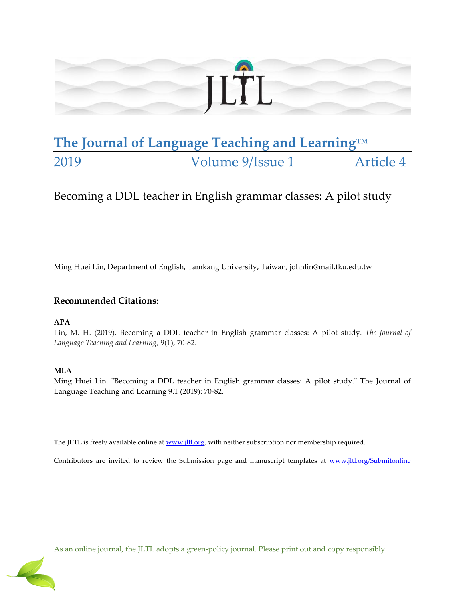

# **The Journal of Language Teaching and Learning**™ 2019 Volume 9/Issue 1 Article 4

# Becoming a DDL teacher in English grammar classes: A pilot study

Ming Huei Lin, Department of English, Tamkang University, Taiwan, johnlin@mail.tku.edu.tw

# **Recommended Citations:**

### **APA**

Lin, M. H. (2019). Becoming a DDL teacher in English grammar classes: A pilot study*. The Journal of Language Teaching and Learning*, 9(1), 70-82.

### **MLA**

Ming Huei Lin. "Becoming a DDL teacher in English grammar classes: A pilot study." The Journal of Language Teaching and Learning 9.1 (2019): 70-82.

The JLTL is freely available online a[t www.jltl.org,](http://www.jltl.org/) with neither subscription nor membership required.

Contributors are invited to review the Submission page and manuscript templates at [www.jltl.org/Submitonline](http://www.jltl.org/Submitonline)



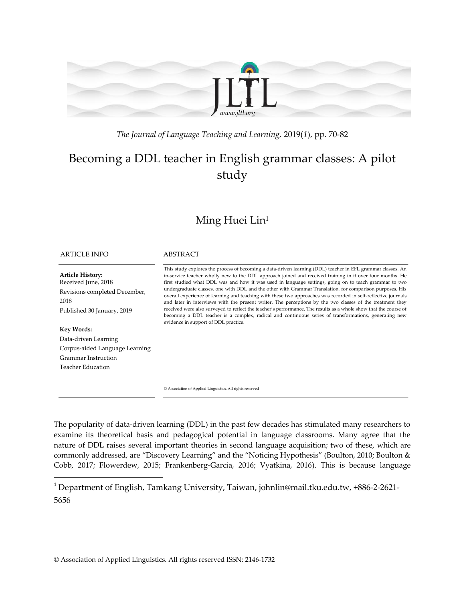

*The Journal of Language Teaching and Learning,* 2019(*1*), pp. 70-82

# Becoming a DDL teacher in English grammar classes: A pilot study

# Ming Huei Lin<sup>1</sup>

#### ARTICLE INFO ABSTRACT

**Article History:** Received June, 2018 Revisions completed December, 2018 Published 30 January, 2019

### **Key Words:**

 $\overline{\phantom{a}}$ 

Data-driven Learning Corpus-aided Language Learning Grammar Instruction Teacher Education

This study explores the process of becoming a data-driven learning (DDL) teacher in EFL grammar classes. An in-service teacher wholly new to the DDL approach joined and received training in it over four months. He first studied what DDL was and how it was used in language settings, going on to teach grammar to two undergraduate classes, one with DDL and the other with Grammar Translation, for comparison purposes. His overall experience of learning and teaching with these two approaches was recorded in self-reflective journals and later in interviews with the present writer. The perceptions by the two classes of the treatment they received were also surveyed to reflect the teacher's performance. The results as a whole show that the course of becoming a DDL teacher is a complex, radical and continuous series of transformations, generating new evidence in support of DDL practice.

© Association of Applied Linguistics. All rights reserved

The popularity of data-driven learning (DDL) in the past few decades has stimulated many researchers to examine its theoretical basis and pedagogical potential in language classrooms. Many agree that the nature of DDL raises several important theories in second language acquisition; two of these, which are commonly addressed, are 'Discovery Learning' and the 'Noticing Hypothesis' (Boulton, 2010; Boulton & Cobb, 2017; Flowerdew, 2015; Frankenberg-Garcia, 2016; Vyatkina, 2016). This is because language

<sup>1</sup> Department of English, Tamkang University, Taiwan, johnlin@mail.tku.edu.tw, +886-2-2621- 5656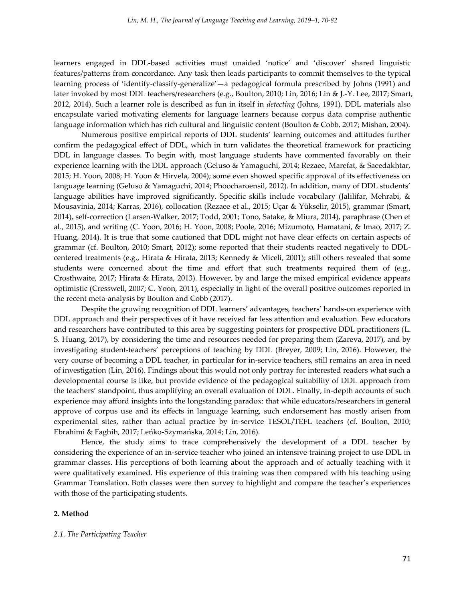learners engaged in DDL-based activities must unaided 'notice' and 'discover' shared linguistic features/patterns from concordance. Any task then leads participants to commit themselves to the typical learning process of 'identify-classify-generalize'—a pedagogical formula prescribed by Johns (1991) and later invoked by most DDL teachers/researchers (e.g., Boulton, 2010; Lin, 2016; Lin & J.-Y. Lee, 2017; Smart, 2012, 2014). Such a learner role is described as fun in itself in *detecting* (Johns, 1991). DDL materials also encapsulate varied motivating elements for language learners because corpus data comprise authentic language information which has rich cultural and linguistic content (Boulton & Cobb, 2017; Mishan, 2004).

Numerous positive empirical reports of DDL students' learning outcomes and attitudes further confirm the pedagogical effect of DDL, which in turn validates the theoretical framework for practicing DDL in language classes. To begin with, most language students have commented favorably on their experience learning with the DDL approach (Geluso & Yamaguchi, 2014; Rezaee, Marefat, & Saeedakhtar, 2015; H. Yoon, 2008; H. Yoon & Hirvela, 2004); some even showed specific approval of its effectiveness on language learning (Geluso & Yamaguchi, 2014; Phoocharoensil, 2012). In addition, many of DDL students' language abilities have improved significantly. Specific skills include vocabulary (Jalilifar, Mehrabi, & Mousavinia, 2014; Karras, 2016), collocation (Rezaee et al., 2015; Uçar & Yükselir, 2015), grammar (Smart, 2014), self-correction (Larsen-Walker, 2017; Todd, 2001; Tono, Satake, & Miura, 2014), paraphrase (Chen et al., 2015), and writing (C. Yoon, 2016; H. Yoon, 2008; Poole, 2016; Mizumoto, Hamatani, & Imao, 2017; Z. Huang, 2014). It is true that some cautioned that DDL might not have clear effects on certain aspects of grammar (cf. Boulton, 2010; Smart, 2012); some reported that their students reacted negatively to DDLcentered treatments (e.g., Hirata & Hirata, 2013; Kennedy & Miceli, 2001); still others revealed that some students were concerned about the time and effort that such treatments required them of (e.g., Crosthwaite, 2017; Hirata & Hirata, 2013). However, by and large the mixed empirical evidence appears optimistic (Cresswell, 2007; C. Yoon, 2011), especially in light of the overall positive outcomes reported in the recent meta-analysis by Boulton and Cobb (2017).

Despite the growing recognition of DDL learners' advantages, teachers' hands-on experience with DDL approach and their perspectives of it have received far less attention and evaluation. Few educators and researchers have contributed to this area by suggesting pointers for prospective DDL practitioners (L. S. Huang, 2017), by considering the time and resources needed for preparing them (Zareva, 2017), and by investigating student-teachers' perceptions of teaching by DDL (Breyer, 2009; Lin, 2016). However, the very course of becoming a DDL teacher, in particular for in-service teachers, still remains an area in need of investigation (Lin, 2016). Findings about this would not only portray for interested readers what such a developmental course is like, but provide evidence of the pedagogical suitability of DDL approach from the teachers' standpoint, thus amplifying an overall evaluation of DDL. Finally, in-depth accounts of such experience may afford insights into the longstanding paradox: that while educators/researchers in general approve of corpus use and its effects in language learning, such endorsement has mostly arisen from experimental sites, rather than actual practice by in-service TESOL/TEFL teachers (cf. Boulton, 2010; Ebrahimi & Faghih, 2017; Leńko-Szymańska, 2014; Lin, 2016).

Hence, the study aims to trace comprehensively the development of a DDL teacher by considering the experience of an in-service teacher who joined an intensive training project to use DDL in grammar classes. His perceptions of both learning about the approach and of actually teaching with it were qualitatively examined. His experience of this training was then compared with his teaching using Grammar Translation. Both classes were then survey to highlight and compare the teacher's experiences with those of the participating students.

#### **2. Method**

#### *2.1. The Participating Teacher*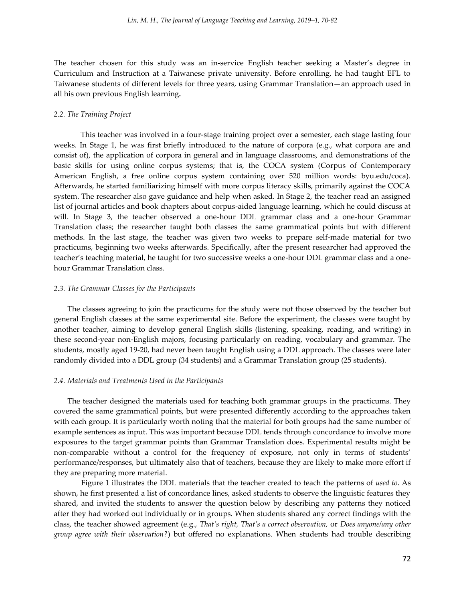The teacher chosen for this study was an in-service English teacher seeking a Master's degree in Curriculum and Instruction at a Taiwanese private university. Before enrolling, he had taught EFL to Taiwanese students of different levels for three years, using Grammar Translation—an approach used in all his own previous English learning*.*

#### *2.2. The Training Project*

This teacher was involved in a four-stage training project over a semester, each stage lasting four weeks. In Stage 1, he was first briefly introduced to the nature of corpora (e.g., what corpora are and consist of), the application of corpora in general and in language classrooms, and demonstrations of the basic skills for using online corpus systems; that is, the COCA system (Corpus of Contemporary American English, a free online corpus system containing over 520 million words: byu.edu/coca). Afterwards, he started familiarizing himself with more corpus literacy skills, primarily against the COCA system. The researcher also gave guidance and help when asked. In Stage 2, the teacher read an assigned list of journal articles and book chapters about corpus-aided language learning, which he could discuss at will. In Stage 3, the teacher observed a one-hour DDL grammar class and a one-hour Grammar Translation class; the researcher taught both classes the same grammatical points but with different methods. In the last stage, the teacher was given two weeks to prepare self-made material for two practicums, beginning two weeks afterwards. Specifically, after the present researcher had approved the teacher's teaching material, he taught for two successive weeks a one-hour DDL grammar class and a onehour Grammar Translation class.

#### *2.3. The Grammar Classes for the Participants*

The classes agreeing to join the practicums for the study were not those observed by the teacher but general English classes at the same experimental site. Before the experiment, the classes were taught by another teacher, aiming to develop general English skills (listening, speaking, reading, and writing) in these second-year non-English majors, focusing particularly on reading, vocabulary and grammar. The students, mostly aged 19-20, had never been taught English using a DDL approach. The classes were later randomly divided into a DDL group (34 students) and a Grammar Translation group (25 students).

#### *2.4. Materials and Treatments Used in the Participants*

The teacher designed the materials used for teaching both grammar groups in the practicums. They covered the same grammatical points, but were presented differently according to the approaches taken with each group. It is particularly worth noting that the material for both groups had the same number of example sentences as input. This was important because DDL tends through concordance to involve more exposures to the target grammar points than Grammar Translation does. Experimental results might be non-comparable without a control for the frequency of exposure, not only in terms of students' performance/responses, but ultimately also that of teachers, because they are likely to make more effort if they are preparing more material.

Figure 1 illustrates the DDL materials that the teacher created to teach the patterns of *used to*. As shown, he first presented a list of concordance lines, asked students to observe the linguistic features they shared, and invited the students to answer the question below by describing any patterns they noticed after they had worked out individually or in groups. When students shared any correct findings with the class, the teacher showed agreement (e.g., *That's right, That's a correct observation,* or *Does anyone/any other group agree with their observation?*) but offered no explanations. When students had trouble describing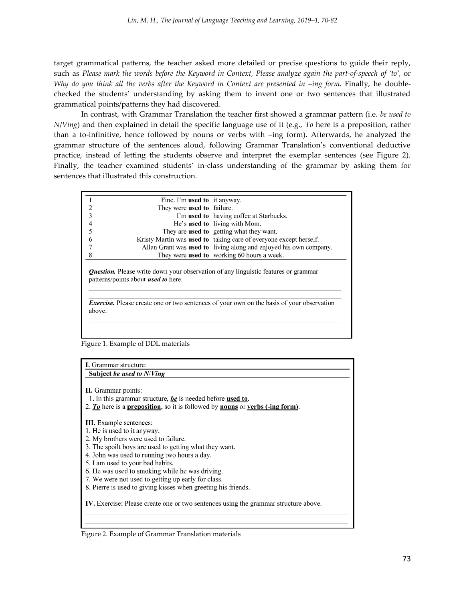target grammatical patterns, the teacher asked more detailed or precise questions to guide their reply, such as *Please mark the words before the Keyword in Context, Please analyze again the part-of-speech of 'to',* or *Why do you think all the verbs after the Keyword in Context are presented in*  $-$ *<i>ing form.* Finally, he doublechecked the students' understanding by asking them to invent one or two sentences that illustrated grammatical points/patterns they had discovered.

In contrast, with Grammar Translation the teacher first showed a grammar pattern (i.e. *be used to N*/*Ving*) and then explained in detail the specific language use of it (e.g., *To* here is a preposition, rather than a to-infinitive, hence followed by nouns or verbs with –ing form). Afterwards, he analyzed the grammar structure of the sentences aloud, following Grammar Translation's conventional deductive practice, instead of letting the students observe and interpret the exemplar sentences (see Figure 2). Finally, the teacher examined students' in-class understanding of the grammar by asking them for sentences that illustrated this construction.

| Fine. I'm used to it anyway.               |                                                                                                  |
|--------------------------------------------|--------------------------------------------------------------------------------------------------|
| They were <b>used to</b> failure.          |                                                                                                  |
|                                            | I'm used to having coffee at Starbucks.                                                          |
|                                            | He's used to living with Mom.                                                                    |
|                                            | They are used to getting what they want.                                                         |
|                                            | Kristy Martin was <b>used to</b> taking care of everyone except herself.                         |
|                                            | Allan Grant was <b>used to</b> living along and enjoyed his own company.                         |
|                                            | They were used to working 60 hours a week.                                                       |
|                                            |                                                                                                  |
| patterns/points about <i>used to</i> here. | <b><i>Question.</i></b> Please write down your observation of any linguistic features or grammar |

Figure 1. Example of DDL materials

I. Grammar structure: Subject be used to N/Ving

II. Grammar points:

1. In this grammar structure, be is needed before used to.

2.  $\overline{I_0}$  here is a preposition, so it is followed by nouns or verbs (-ing form).

III. Example sentences:

1. He is used to it anyway.

2. My brothers were used to failure.

3. The spoilt boys are used to getting what they want.

4. John was used to running two hours a day.

5. I am used to your bad habits.

6. He was used to smoking while he was driving.

7. We were not used to getting up early for class.

8. Pierre is used to giving kisses when greeting his friends.

IV. Exercise: Please create one or two sentences using the grammar structure above.

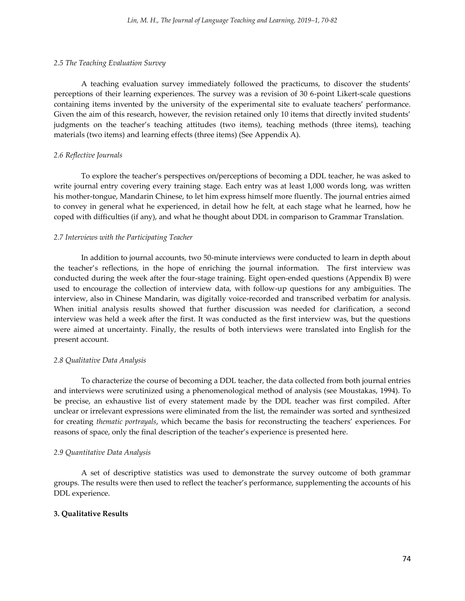#### *2.5 The Teaching Evaluation Survey*

A teaching evaluation survey immediately followed the practicums, to discover the students' perceptions of their learning experiences. The survey was a revision of 30 6-point Likert-scale questions containing items invented by the university of the experimental site to evaluate teachers' performance. Given the aim of this research, however, the revision retained only 10 items that directly invited students' judgments on the teacher's teaching attitudes (two items), teaching methods (three items), teaching materials (two items) and learning effects (three items) (See Appendix A).

#### *2.6 Reflective Journals*

To explore the teacher's perspectives on/perceptions of becoming a DDL teacher, he was asked to write journal entry covering every training stage. Each entry was at least 1,000 words long, was written his mother-tongue, Mandarin Chinese, to let him express himself more fluently. The journal entries aimed to convey in general what he experienced, in detail how he felt, at each stage what he learned, how he coped with difficulties (if any), and what he thought about DDL in comparison to Grammar Translation.

#### *2.7 Interviews with the Participating Teacher*

In addition to journal accounts, two 50-minute interviews were conducted to learn in depth about the teacher's reflections, in the hope of enriching the journal information. The first interview was conducted during the week after the four-stage training. Eight open-ended questions (Appendix B) were used to encourage the collection of interview data, with follow-up questions for any ambiguities. The interview, also in Chinese Mandarin, was digitally voice-recorded and transcribed verbatim for analysis. When initial analysis results showed that further discussion was needed for clarification, a second interview was held a week after the first. It was conducted as the first interview was, but the questions were aimed at uncertainty. Finally, the results of both interviews were translated into English for the present account.

#### *2.8 Qualitative Data Analysis*

To characterize the course of becoming a DDL teacher, the data collected from both journal entries and interviews were scrutinized using a phenomenological method of analysis (see Moustakas, 1994). To be precise, an exhaustive list of every statement made by the DDL teacher was first compiled. After unclear or irrelevant expressions were eliminated from the list, the remainder was sorted and synthesized for creating *thematic portrayals*, which became the basis for reconstructing the teachers' experiences. For reasons of space, only the final description of the teacher's experience is presented here.

#### *2.9 Quantitative Data Analysis*

A set of descriptive statistics was used to demonstrate the survey outcome of both grammar groups. The results were then used to reflect the teacher's performance, supplementing the accounts of his DDL experience.

#### **3. Qualitative Results**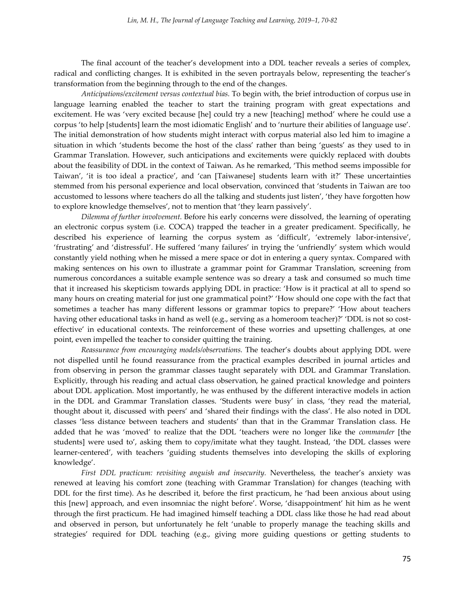The final account of the teacher's development into a DDL teacher reveals a series of complex, radical and conflicting changes. It is exhibited in the seven portrayals below, representing the teacher's transformation from the beginning through to the end of the changes.

*Anticipations/excitement versus contextual bias.* To begin with, the brief introduction of corpus use in language learning enabled the teacher to start the training program with great expectations and excitement. He was 'very excited because [he] could try a new [teaching] method' where he could use a corpus 'to help [students] learn the most idiomatic English' and to 'nurture their abilities of language use'. The initial demonstration of how students might interact with corpus material also led him to imagine a situation in which 'students become the host of the class' rather than being 'guests' as they used to in Grammar Translation. However, such anticipations and excitements were quickly replaced with doubts about the feasibility of DDL in the context of Taiwan. As he remarked, 'This method seems impossible for Taiwan', 'it is too ideal a practice', and 'can [Taiwanese] students learn with it?' These uncertainties stemmed from his personal experience and local observation, convinced that 'students in Taiwan are too accustomed to lessons where teachers do all the talking and students just listen', 'they have forgotten how to explore knowledge themselves', not to mention that 'they learn passively'.

*Dilemma of further involvement.* Before his early concerns were dissolved, the learning of operating an electronic corpus system (i.e. COCA) trapped the teacher in a greater predicament. Specifically, he described his experience of learning the corpus system as 'difficult', 'extremely labor-intensive', 'frustrating' and 'distressful'. He suffered 'many failures' in trying the 'unfriendly' system which would constantly yield nothing when he missed a mere space or dot in entering a query syntax. Compared with making sentences on his own to illustrate a grammar point for Grammar Translation, screening from numerous concordances a suitable example sentence was so dreary a task and consumed so much time that it increased his skepticism towards applying DDL in practice: 'How is it practical at all to spend so many hours on creating material for just one grammatical point?' 'How should one cope with the fact that sometimes a teacher has many different lessons or grammar topics to prepare?' 'How about teachers having other educational tasks in hand as well (e.g., serving as a homeroom teacher)?' 'DDL is not so costeffective' in educational contexts. The reinforcement of these worries and upsetting challenges, at one point, even impelled the teacher to consider quitting the training.

*Reassurance from encouraging models/observations.* The teacher's doubts about applying DDL were not dispelled until he found reassurance from the practical examples described in journal articles and from observing in person the grammar classes taught separately with DDL and Grammar Translation. Explicitly, through his reading and actual class observation, he gained practical knowledge and pointers about DDL application. Most importantly, he was enthused by the different interactive models in action in the DDL and Grammar Translation classes. 'Students were busy' in class, 'they read the material, thought about it, discussed with peers' and 'shared their findings with the class'. He also noted in DDL classes 'less distance between teachers and students' than that in the Grammar Translation class. He added that he was 'moved' to realize that the DDL 'teachers were no longer like the *commander* [the students] were used to', asking them to copy/imitate what they taught. Instead, 'the DDL classes were learner-centered', with teachers 'guiding students themselves into developing the skills of exploring knowledge'.

*First DDL practicum: revisiting anguish and insecurity.* Nevertheless, the teacher's anxiety was renewed at leaving his comfort zone (teaching with Grammar Translation) for changes (teaching with DDL for the first time). As he described it, before the first practicum, he 'had been anxious about using this [new] approach, and even insomniac the night before'. Worse, 'disappointment' hit him as he went through the first practicum. He had imagined himself teaching a DDL class like those he had read about and observed in person, but unfortunately he felt 'unable to properly manage the teaching skills and strategies' required for DDL teaching (e.g., giving more guiding questions or getting students to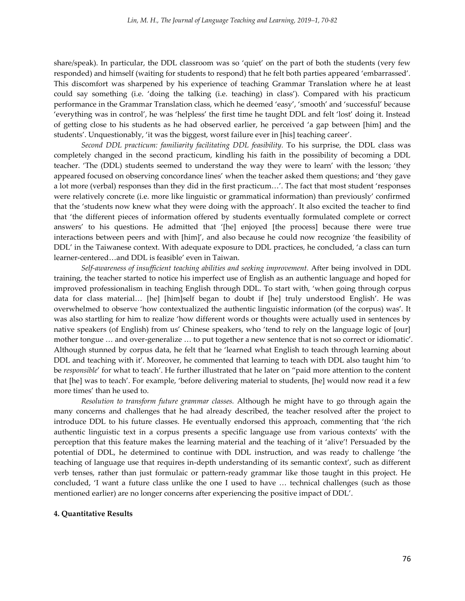share/speak). In particular, the DDL classroom was so 'quiet' on the part of both the students (very few responded) and himself (waiting for students to respond) that he felt both parties appeared 'embarrassed'. This discomfort was sharpened by his experience of teaching Grammar Translation where he at least could say something (i.e. 'doing the talking (i.e. teaching) in class'). Compared with his practicum performance in the Grammar Translation class, which he deemed 'easy', 'smooth' and 'successful' because 'everything was in control', he was 'helpless' the first time he taught DDL and felt 'lost' doing it. Instead of getting close to his students as he had observed earlier, he perceived 'a gap between [him] and the students'. Unquestionably, 'it was the biggest, worst failure ever in [his] teaching career'.

*Second DDL practicum: familiarity facilitating DDL feasibility.* To his surprise, the DDL class was completely changed in the second practicum, kindling his faith in the possibility of becoming a DDL teacher. 'The (DDL) students seemed to understand the way they were to learn' with the lesson; 'they appeared focused on observing concordance lines' when the teacher asked them questions; and 'they gave a lot more (verbal) responses than they did in the first practicum...'. The fact that most student 'responses were relatively concrete (i.e. more like linguistic or grammatical information) than previously' confirmed that the 'students now knew what they were doing with the approach'. It also excited the teacher to find that 'the different pieces of information offered by students eventually formulated complete or correct answers' to his questions. He admitted that '[he] enjoyed [the process] because there were true interactions between peers and with [him]', and also because he could now recognize 'the feasibility of DDL' in the Taiwanese context. With adequate exposure to DDL practices, he concluded, 'a class can turn learner-centered...and DDL is feasible' even in Taiwan.

*Self-awareness of insufficient teaching abilities and seeking improvement.* After being involved in DDL training, the teacher started to notice his imperfect use of English as an authentic language and hoped for improved professionalism in teaching English through DDL. To start with, 'when going through corpus data for class material... [he] [him]self began to doubt if [he] truly understood English'. He was overwhelmed to observe 'how contextualized the authentic linguistic information (of the corpus) was'. It was also startling for him to realize 'how different words or thoughts were actually used in sentences by native speakers (of English) from us' Chinese speakers, who 'tend to rely on the language logic of [our] mother tongue ... and over-generalize ... to put together a new sentence that is not so correct or idiomatic'. Although stunned by corpus data, he felt that he 'learned what English to teach through learning about DDL and teaching with it'. Moreover, he commented that learning to teach with DDL also taught him 'to be *responsible*' for what to teach'. He further illustrated that he later on 'paid more attention to the content that [he] was to teach'. For example, 'before delivering material to students, [he] would now read it a few more times' than he used to.

*Resolution to transform future grammar classes.* Although he might have to go through again the many concerns and challenges that he had already described, the teacher resolved after the project to introduce DDL to his future classes. He eventually endorsed this approach, commenting that 'the rich authentic linguistic text in a corpus presents a specific language use from various contexts' with the perception that this feature makes the learning material and the teaching of it 'alive'! Persuaded by the potential of DDL, he determined to continue with DDL instruction, and was ready to challenge 'the teaching of language use that requires in-depth understanding of its semantic context', such as different verb tenses, rather than just formulaic or pattern-ready grammar like those taught in this project. He concluded, 'I want a future class unlike the one I used to have ... technical challenges (such as those mentioned earlier) are no longer concerns after experiencing the positive impact of DDL'.

#### **4. Quantitative Results**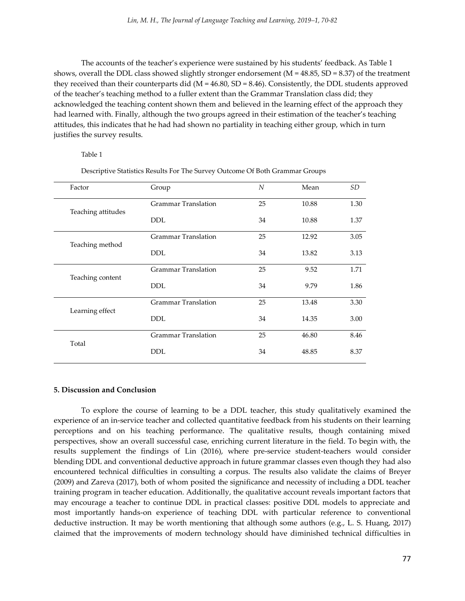The accounts of the teacher's experience were sustained by his students' feedback. As Table 1 shows, overall the DDL class showed slightly stronger endorsement ( $M = 48.85$ , SD = 8.37) of the treatment they received than their counterparts did ( $M = 46.80$ ,  $SD = 8.46$ ). Consistently, the DDL students approved of the teacher's teaching method to a fuller extent than the Grammar Translation class did; they acknowledged the teaching content shown them and believed in the learning effect of the approach they had learned with. Finally, although the two groups agreed in their estimation of the teacher's teaching attitudes, this indicates that he had had shown no partiality in teaching either group, which in turn justifies the survey results.

#### Table 1

| Factor             | Group                      | N  | Mean  | SD   |
|--------------------|----------------------------|----|-------|------|
|                    | <b>Grammar Translation</b> | 25 | 10.88 | 1.30 |
| Teaching attitudes | <b>DDL</b>                 | 34 | 10.88 | 1.37 |
|                    | <b>Grammar Translation</b> | 25 | 12.92 | 3.05 |
| Teaching method    | <b>DDL</b>                 | 34 | 13.82 | 3.13 |
|                    | <b>Grammar Translation</b> | 25 | 9.52  | 1.71 |
| Teaching content   | <b>DDL</b>                 | 34 | 9.79  | 1.86 |
|                    | <b>Grammar Translation</b> | 25 | 13.48 | 3.30 |
| Learning effect    | <b>DDL</b>                 | 34 | 14.35 | 3.00 |
|                    | <b>Grammar Translation</b> | 25 | 46.80 | 8.46 |
| Total              | <b>DDL</b>                 | 34 | 48.85 | 8.37 |

Descriptive Statistics Results For The Survey Outcome Of Both Grammar Groups

#### **5. Discussion and Conclusion**

To explore the course of learning to be a DDL teacher, this study qualitatively examined the experience of an in-service teacher and collected quantitative feedback from his students on their learning perceptions and on his teaching performance. The qualitative results, though containing mixed perspectives, show an overall successful case, enriching current literature in the field. To begin with, the results supplement the findings of Lin (2016), where pre-service student-teachers would consider blending DDL and conventional deductive approach in future grammar classes even though they had also encountered technical difficulties in consulting a corpus. The results also validate the claims of Breyer (2009) and Zareva (2017), both of whom posited the significance and necessity of including a DDL teacher training program in teacher education. Additionally, the qualitative account reveals important factors that may encourage a teacher to continue DDL in practical classes: positive DDL models to appreciate and most importantly hands-on experience of teaching DDL with particular reference to conventional deductive instruction. It may be worth mentioning that although some authors (e.g., L. S. Huang, 2017) claimed that the improvements of modern technology should have diminished technical difficulties in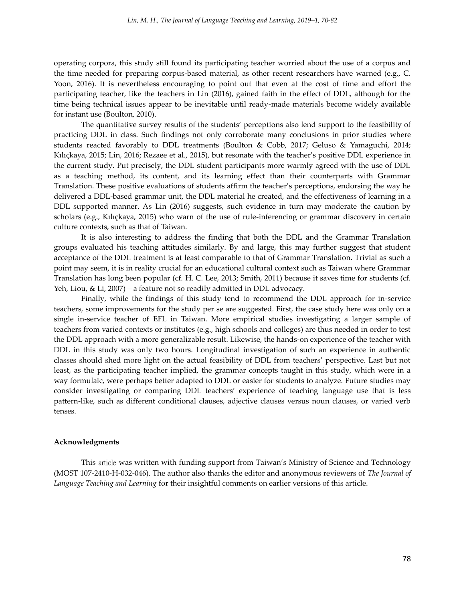operating corpora, this study still found its participating teacher worried about the use of a corpus and the time needed for preparing corpus-based material, as other recent researchers have warned (e.g., C. Yoon, 2016). It is nevertheless encouraging to point out that even at the cost of time and effort the participating teacher, like the teachers in Lin (2016), gained faith in the effect of DDL, although for the time being technical issues appear to be inevitable until ready-made materials become widely available for instant use (Boulton, 2010).

The quantitative survey results of the students' perceptions also lend support to the feasibility of practicing DDL in class. Such findings not only corroborate many conclusions in prior studies where students reacted favorably to DDL treatments (Boulton & Cobb, 2017; Geluso & Yamaguchi, 2014; Kılıçkaya, 2015; Lin, 2016; Rezaee et al., 2015), but resonate with the teacher's positive DDL experience in the current study. Put precisely, the DDL student participants more warmly agreed with the use of DDL as a teaching method, its content, and its learning effect than their counterparts with Grammar Translation. These positive evaluations of students affirm the teacher's perceptions, endorsing the way he delivered a DDL-based grammar unit, the DDL material he created, and the effectiveness of learning in a DDL supported manner. As Lin (2016) suggests, such evidence in turn may moderate the caution by scholars (e.g., Kılıçkaya, 2015) who warn of the use of rule-inferencing or grammar discovery in certain culture contexts, such as that of Taiwan.

It is also interesting to address the finding that both the DDL and the Grammar Translation groups evaluated his teaching attitudes similarly. By and large, this may further suggest that student acceptance of the DDL treatment is at least comparable to that of Grammar Translation. Trivial as such a point may seem, it is in reality crucial for an educational cultural context such as Taiwan where Grammar Translation has long been popular (cf. H. C. Lee, 2013; Smith, 2011) because it saves time for students (cf. Yeh, Liou, & Li, 2007)—a feature not so readily admitted in DDL advocacy.

Finally, while the findings of this study tend to recommend the DDL approach for in-service teachers, some improvements for the study per se are suggested. First, the case study here was only on a single in-service teacher of EFL in Taiwan. More empirical studies investigating a larger sample of teachers from varied contexts or institutes (e.g., high schools and colleges) are thus needed in order to test the DDL approach with a more generalizable result. Likewise, the hands-on experience of the teacher with DDL in this study was only two hours. Longitudinal investigation of such an experience in authentic classes should shed more light on the actual feasibility of DDL from teachers' perspective. Last but not least, as the participating teacher implied, the grammar concepts taught in this study, which were in a way formulaic, were perhaps better adapted to DDL or easier for students to analyze. Future studies may consider investigating or comparing DDL teachers' experience of teaching language use that is less pattern-like, such as different conditional clauses, adjective clauses versus noun clauses, or varied verb tenses.

#### **Acknowledgments**

This article was written with funding support from Taiwan's Ministry of Science and Technology (MOST 107-2410-H-032-046). The author also thanks the editor and anonymous reviewers of *The Journal of Language Teaching and Learning* for their insightful comments on earlier versions of this article.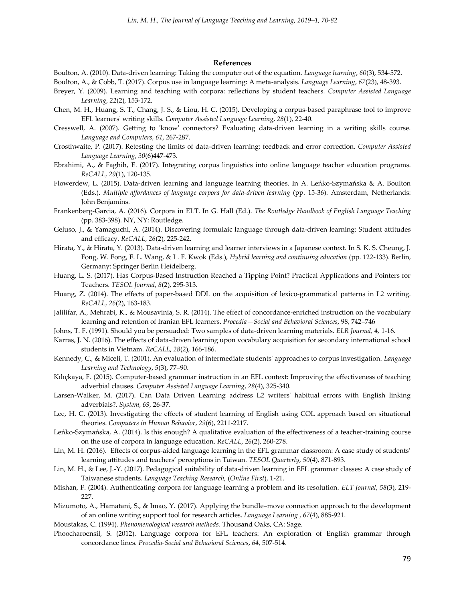#### **References**

Boulton, A. (2010). Data‐driven learning: Taking the computer out of the equation. *Language learning*, *60*(3), 534-572.

Boulton, A., & Cobb, T. (2017). Corpus use in language learning: A meta‐analysis. *Language Learning*, *67*(23), 48-393.

- Breyer, Y. (2009). Learning and teaching with corpora: reflections by student teachers. *Computer Assisted Language Learning*, *22*(2), 153-172.
- Chen, M. H., Huang, S. T., Chang, J. S., & Liou, H. C. (2015). Developing a corpus-based paraphrase tool to improve EFL learners' writing skills. *Computer Assisted Language Learning*, *28*(1), 22-40.
- Cresswell, A. (2007). Getting to 'know' connectors? Evaluating data-driven learning in a writing skills course. *Language and Computers*, *61*, 267-287.
- Crosthwaite, P. (2017). Retesting the limits of data-driven learning: feedback and error correction. *Computer Assisted Language Learning*, *30*(6)447-473.
- Ebrahimi, A., & Faghih, E. (2017). Integrating corpus linguistics into online language teacher education programs. *ReCALL*, *29*(1), 120-135.
- Flowerdew, L. (2015). Data-driven learning and language learning theories. In A. Leńko-Szymańska & A. Boulton (Eds.). *Multiple affordances of language corpora for data-driven learning* (pp. 15-36). Amsterdam, Netherlands: John Benjamins.
- Frankenberg-Garcia, A. (2016). Corpora in ELT. In G. Hall (Ed.). *The Routledge Handbook of English Language Teaching* (pp. 383-398). NY, NY: Routledge.
- Geluso, J., & Yamaguchi, A. (2014). Discovering formulaic language through data-driven learning: Student attitudes and efficacy. *ReCALL*, *26*(2), 225-242.
- Hirata, Y., & Hirata, Y. (2013). Data-driven learning and learner interviews in a Japanese context. In S. K. S. Cheung, J. Fong, W. Fong, F. L. Wang, & L. F. Kwok (Eds.), *Hybrid learning and continuing education* (pp. 122-133). Berlin, Germany: Springer Berlin Heidelberg.
- Huang, L. S. (2017). Has Corpus‐Based Instruction Reached a Tipping Point? Practical Applications and Pointers for Teachers. *TESOL Journal*, *8*(2), 295-313.
- Huang, Z. (2014). The effects of paper-based DDL on the acquisition of lexico-grammatical patterns in L2 writing. *ReCALL*, *26*(2), 163-183.
- Jalilifar, A., Mehrabi, K., & Mousavinia, S. R. (2014). The effect of concordance‐enriched instruction on the vocabulary learning and retention of Iranian EFL learners. *Procedia—Social and Behavioral Sciences*, 98, 742–746
- Johns, T. F. (1991). Should you be persuaded: Two samples of data-driven learning materials. *ELR Journal, 4,* 1-16.
- Karras, J. N. (2016). The effects of data-driven learning upon vocabulary acquisition for secondary international school students in Vietnam. *ReCALL*, *28*(2), 166-186.
- Kennedy, C., & Miceli, T. (2001). An evaluation of intermediate students' approaches to corpus investigation. *Language Learning and Technology*, *5*(3), 77–90.
- Kılıçkaya, F. (2015). Computer-based grammar instruction in an EFL context: Improving the effectiveness of teaching adverbial clauses. *Computer Assisted Language Learning*, *28*(4), 325-340.
- Larsen-Walker, M. (2017). Can Data Driven Learning address L2 writers' habitual errors with English linking adverbials?. *System*, *69*, 26-37.
- Lee, H. C. (2013). Investigating the effects of student learning of English using COL approach based on situational theories. *Computers in Human Behavior*, *29*(6), 2211-2217.
- Leńko-Szymańska, A. (2014). Is this enough? A qualitative evaluation of the effectiveness of a teacher-training course on the use of corpora in language education. *ReCALL*, *26*(2), 260-278.
- Lin, M. H. (2016). Effects of corpus-aided language learning in the EFL grammar classroom: A case study of students' learning attitudes and teachers' perceptions in Taiwan. *TESOL Quarterly, 50*(4), 871-893.
- Lin, M. H., & Lee, J.-Y. (2017). Pedagogical suitability of data-driven learning in EFL grammar classes: A case study of Taiwanese students. *Language Teaching Research,* (*Online First*), 1-21.
- Mishan, F. (2004). Authenticating corpora for language learning a problem and its resolution. *ELT Journal*, *58*(3), 219- 227.
- Mizumoto, A., Hamatani, S., & Imao, Y. (2017). Applying the bundle–move connection approach to the development of an online writing support tool for research articles. *Language Learning* , *67*(4), 885-921.
- Moustakas, C. (1994). *Phenomenological research methods*. Thousand Oaks, CA: Sage.
- Phoocharoensil, S. (2012). Language corpora for EFL teachers: An exploration of English grammar through concordance lines. *Procedia-Social and Behavioral Sciences*, *64*, 507-514.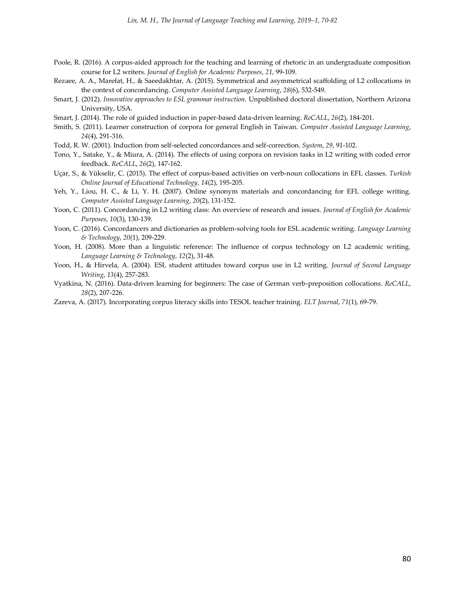- Poole, R. (2016). A corpus-aided approach for the teaching and learning of rhetoric in an undergraduate composition course for L2 writers. *Journal of English for Academic Purposes*, *21*, 99-109.
- Rezaee, A. A., Marefat, H., & Saeedakhtar, A. (2015). Symmetrical and asymmetrical scaffolding of L2 collocations in the context of concordancing. *Computer Assisted Language Learning*, *28*(6), 532-549.
- Smart, J. (2012). *Innovative approaches to ESL grammar instruction.* Unpublished doctoral dissertation, Northern Arizona University, USA.
- Smart, J. (2014). The role of guided induction in paper-based data-driven learning. *ReCALL*, *26*(2), 184-201.
- Smith, S. (2011). Learner construction of corpora for general English in Taiwan. *Computer Assisted Language Learning*, *24*(4), 291-316.
- Todd, R. W. (2001). Induction from self-selected concordances and self-correction. *System*, *29*, 91-102.
- Tono, Y., Satake, Y., & Miura, A. (2014). The effects of using corpora on revision tasks in L2 writing with coded error feedback. *ReCALL*, *26*(2), 147-162.
- Uçar, S., & Yükselir, C. (2015). The effect of corpus-based activities on verb-noun collocations in EFL classes. *Turkish Online Journal of Educational Technology*, *14*(2), 195-205.
- Yeh, Y., Liou, H. C., & Li, Y. H. (2007). Online synonym materials and concordancing for EFL college writing. *Computer Assisted Language Learning*, *20*(2), 131-152.
- Yoon, C. (2011). Concordancing in L2 writing class: An overview of research and issues. *Journal of English for Academic Purposes*, *10*(3), 130-139.
- Yoon, C. (2016). Concordancers and dictionaries as problem-solving tools for ESL academic writing. *Language Learning & Technology*, *20*(1), 209-229.
- Yoon, H. (2008). More than a linguistic reference: The influence of corpus technology on L2 academic writing. *Language Learning & Technology*, *12*(2), 31-48.
- Yoon, H., & Hirvela, A. (2004). ESL student attitudes toward corpus use in L2 writing. *Journal of Second Language Writing*, *13*(4), 257-283.
- Vyatkina, N. (2016). Data-driven learning for beginners: The case of German verb-preposition collocations. *ReCALL*, *28*(2), 207-226.
- Zareva, A. (2017). Incorporating corpus literacy skills into TESOL teacher training. *ELT Journal*, *71*(1), 69-79.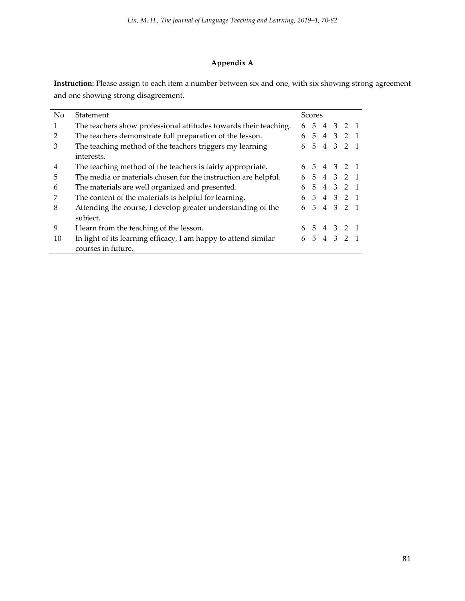# **Appendix A**

**Instruction:** Please assign to each item a number between six and one, with six showing strong agreement and one showing strong disagreement.

| No | Statement                                                        |    | Scores          |  |  |             |  |
|----|------------------------------------------------------------------|----|-----------------|--|--|-------------|--|
| 1  | The teachers show professional attitudes towards their teaching. | 6  | 5               |  |  | 4 3 2 1     |  |
|    | The teachers demonstrate full preparation of the lesson.         | 6  | $5\overline{)}$ |  |  | 4 3 2 1     |  |
| 3  | The teaching method of the teachers triggers my learning         |    |                 |  |  | 6 5 4 3 2 1 |  |
|    | interests.                                                       |    |                 |  |  |             |  |
| 4  | The teaching method of the teachers is fairly appropriate.       | 6. |                 |  |  | 5 4 3 2 1   |  |
| 5  | The media or materials chosen for the instruction are helpful.   | 6  |                 |  |  | 5 4 3 2 1   |  |
| 6  | The materials are well organized and presented.                  | 6  | 5               |  |  | 4 3 2 1     |  |
|    | The content of the materials is helpful for learning.            |    |                 |  |  | 6 5 4 3 2 1 |  |
| 8  | Attending the course, I develop greater understanding of the     | 6  |                 |  |  | 5 4 3 2 1   |  |
|    | subject.                                                         |    |                 |  |  |             |  |
| 9  | I learn from the teaching of the lesson.                         | 6  |                 |  |  | 5 4 3 2 1   |  |
| 10 | In light of its learning efficacy, I am happy to attend similar  | 6  |                 |  |  | 5 4 3 2 1   |  |
|    | courses in future.                                               |    |                 |  |  |             |  |